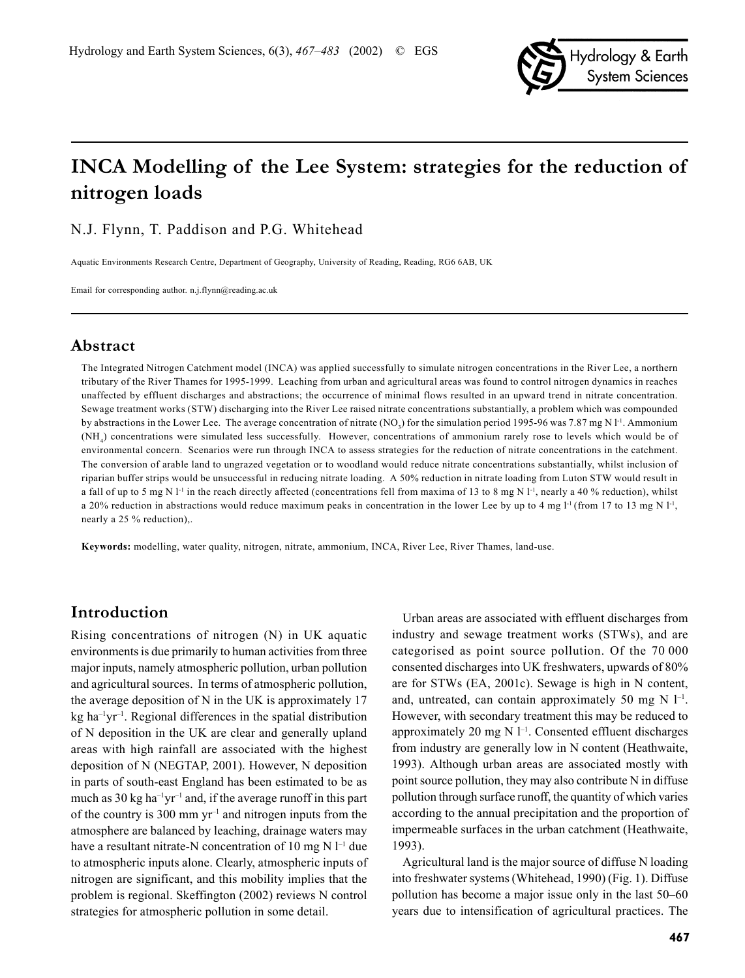

# **INCA Modelling of the Lee System: strategies for the reduction of nitrogen loads**

N.J. Flynn, T. Paddison and P.G. Whitehead

Aquatic Environments Research Centre, Department of Geography, University of Reading, Reading, RG6 6AB, UK

Email for corresponding author. n.j.flynn@reading.ac.uk

### **Abstract**

The Integrated Nitrogen Catchment model (INCA) was applied successfully to simulate nitrogen concentrations in the River Lee, a northern tributary of the River Thames for 1995-1999. Leaching from urban and agricultural areas was found to control nitrogen dynamics in reaches unaffected by effluent discharges and abstractions; the occurrence of minimal flows resulted in an upward trend in nitrate concentration. Sewage treatment works (STW) discharging into the River Lee raised nitrate concentrations substantially, a problem which was compounded by abstractions in the Lower Lee. The average concentration of nitrate (NO<sub>3</sub>) for the simulation period 1995-96 was 7.87 mg N l<sup>-1</sup>. Ammonium  $(NH<sub>4</sub>)$  concentrations were simulated less successfully. However, concentrations of ammonium rarely rose to levels which would be of environmental concern. Scenarios were run through INCA to assess strategies for the reduction of nitrate concentrations in the catchment. The conversion of arable land to ungrazed vegetation or to woodland would reduce nitrate concentrations substantially, whilst inclusion of riparian buffer strips would be unsuccessful in reducing nitrate loading. A 50% reduction in nitrate loading from Luton STW would result in a fall of up to 5 mg N l<sup>-1</sup> in the reach directly affected (concentrations fell from maxima of 13 to 8 mg N l<sup>-1</sup>, nearly a 40 % reduction), whilst a 20% reduction in abstractions would reduce maximum peaks in concentration in the lower Lee by up to 4 mg l<sup>-1</sup> (from 17 to 13 mg N l<sup>-1</sup>, nearly a 25 % reduction),.

**Keywords:** modelling, water quality, nitrogen, nitrate, ammonium, INCA, River Lee, River Thames, land-use.

### **Introduction**

Rising concentrations of nitrogen (N) in UK aquatic environments is due primarily to human activities from three major inputs, namely atmospheric pollution, urban pollution and agricultural sources. In terms of atmospheric pollution, the average deposition of N in the UK is approximately 17  $kg$  ha<sup>-1</sup>yr<sup>-1</sup>. Regional differences in the spatial distribution of N deposition in the UK are clear and generally upland areas with high rainfall are associated with the highest deposition of N (NEGTAP, 2001). However, N deposition in parts of south-east England has been estimated to be as much as  $30 \text{ kg}$  ha<sup>-1</sup>yr<sup>-1</sup> and, if the average runoff in this part of the country is 300 mm  $yr^{-1}$  and nitrogen inputs from the atmosphere are balanced by leaching, drainage waters may have a resultant nitrate-N concentration of 10 mg N  $l^{-1}$  due to atmospheric inputs alone. Clearly, atmospheric inputs of nitrogen are significant, and this mobility implies that the problem is regional. Skeffington (2002) reviews N control strategies for atmospheric pollution in some detail.

Urban areas are associated with effluent discharges from industry and sewage treatment works (STWs), and are categorised as point source pollution. Of the 70 000 consented discharges into UK freshwaters, upwards of 80% are for STWs (EA, 2001c). Sewage is high in N content, and, untreated, can contain approximately 50 mg  $N$  l<sup>-1</sup>. However, with secondary treatment this may be reduced to approximately 20 mg  $N$   $l^{-1}$ . Consented effluent discharges from industry are generally low in N content (Heathwaite, 1993). Although urban areas are associated mostly with point source pollution, they may also contribute N in diffuse pollution through surface runoff, the quantity of which varies according to the annual precipitation and the proportion of impermeable surfaces in the urban catchment (Heathwaite, 1993).

Agricultural land is the major source of diffuse N loading into freshwater systems (Whitehead, 1990) (Fig. 1). Diffuse pollution has become a major issue only in the last 50–60 years due to intensification of agricultural practices. The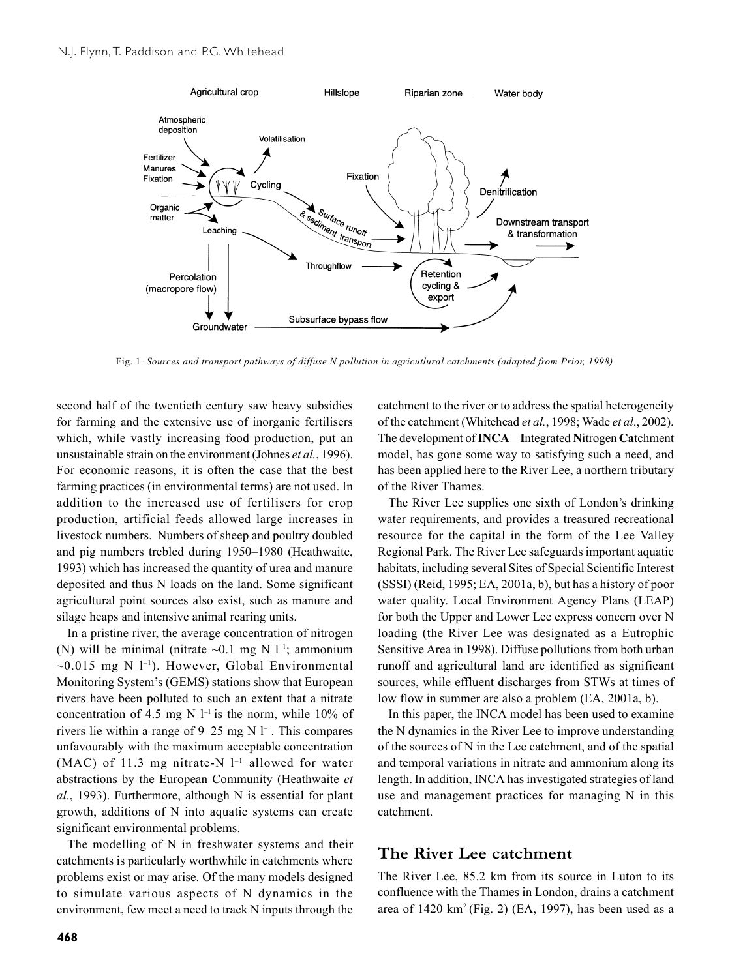

Fig. 1*. Sources and transport pathways of diffuse N pollution in agricutlural catchments (adapted from Prior, 1998)*

second half of the twentieth century saw heavy subsidies for farming and the extensive use of inorganic fertilisers which, while vastly increasing food production, put an unsustainable strain on the environment (Johnes *et al.*, 1996). For economic reasons, it is often the case that the best farming practices (in environmental terms) are not used. In addition to the increased use of fertilisers for crop production, artificial feeds allowed large increases in livestock numbers. Numbers of sheep and poultry doubled and pig numbers trebled during 1950–1980 (Heathwaite, 1993) which has increased the quantity of urea and manure deposited and thus N loads on the land. Some significant agricultural point sources also exist, such as manure and silage heaps and intensive animal rearing units.

In a pristine river, the average concentration of nitrogen (N) will be minimal (nitrate  $\sim 0.1$  mg N l<sup>-1</sup>; ammonium  $\sim$ 0.015 mg N l<sup>-1</sup>). However, Global Environmental Monitoring System's (GEMS) stations show that European rivers have been polluted to such an extent that a nitrate concentration of 4.5 mg N  $l^{-1}$  is the norm, while 10% of rivers lie within a range of  $9-25$  mg N  $1^{-1}$ . This compares unfavourably with the maximum acceptable concentration (MAC) of 11.3 mg nitrate-N  $l^{-1}$  allowed for water abstractions by the European Community (Heathwaite *et al.*, 1993). Furthermore, although N is essential for plant growth, additions of N into aquatic systems can create significant environmental problems.

The modelling of N in freshwater systems and their catchments is particularly worthwhile in catchments where problems exist or may arise. Of the many models designed to simulate various aspects of N dynamics in the environment, few meet a need to track N inputs through the

catchment to the river or to address the spatial heterogeneity of the catchment (Whitehead *et al.*, 1998; Wade *et al*., 2002). The development of **INCA** – **I**ntegrated **N**itrogen **Ca**tchment model, has gone some way to satisfying such a need, and has been applied here to the River Lee, a northern tributary of the River Thames.

The River Lee supplies one sixth of London's drinking water requirements, and provides a treasured recreational resource for the capital in the form of the Lee Valley Regional Park. The River Lee safeguards important aquatic habitats, including several Sites of Special Scientific Interest (SSSI) (Reid, 1995; EA, 2001a, b), but has a history of poor water quality. Local Environment Agency Plans (LEAP) for both the Upper and Lower Lee express concern over N loading (the River Lee was designated as a Eutrophic Sensitive Area in 1998). Diffuse pollutions from both urban runoff and agricultural land are identified as significant sources, while effluent discharges from STWs at times of low flow in summer are also a problem (EA, 2001a, b).

In this paper, the INCA model has been used to examine the N dynamics in the River Lee to improve understanding of the sources of N in the Lee catchment, and of the spatial and temporal variations in nitrate and ammonium along its length. In addition, INCA has investigated strategies of land use and management practices for managing N in this catchment.

### **The River Lee catchment**

The River Lee, 85.2 km from its source in Luton to its confluence with the Thames in London, drains a catchment area of  $1420 \text{ km}^2$  (Fig. 2) (EA, 1997), has been used as a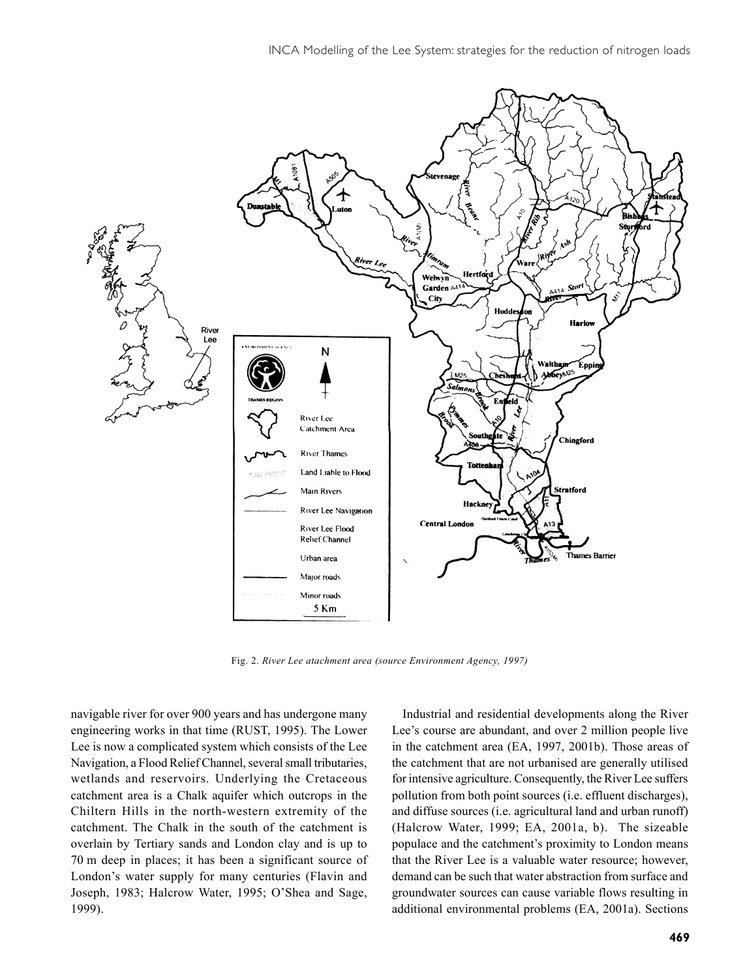

Fig. 2. *River Lee atachment area (source Environment Agency, 1997)*

navigable river for over 900 years and has undergone many engineering works in that time (RUST, 1995). The Lower Lee is now a complicated system which consists of the Lee Navigation, a Flood Relief Channel, several small tributaries, wetlands and reservoirs. Underlying the Cretaceous catchment area is a Chalk aquifer which outcrops in the Chiltern Hills in the north-western extremity of the catchment. The Chalk in the south of the catchment is overlain by Tertiary sands and London clay and is up to 70 m deep in places; it has been a significant source of London's water supply for many centuries (Flavin and Joseph, 1983; Halcrow Water, 1995; O'Shea and Sage, 1999).

Industrial and residential developments along the River Lee's course are abundant, and over 2 million people live in the catchment area (EA, 1997, 2001b). Those areas of the catchment that are not urbanised are generally utilised for intensive agriculture. Consequently, the River Lee suffers pollution from both point sources (i.e. effluent discharges), and diffuse sources (i.e. agricultural land and urban runoff) (Halcrow Water, 1999; EA, 2001a, b). The sizeable populace and the catchment's proximity to London means that the River Lee is a valuable water resource; however, demand can be such that water abstraction from surface and groundwater sources can cause variable flows resulting in additional environmental problems (EA, 2001a). Sections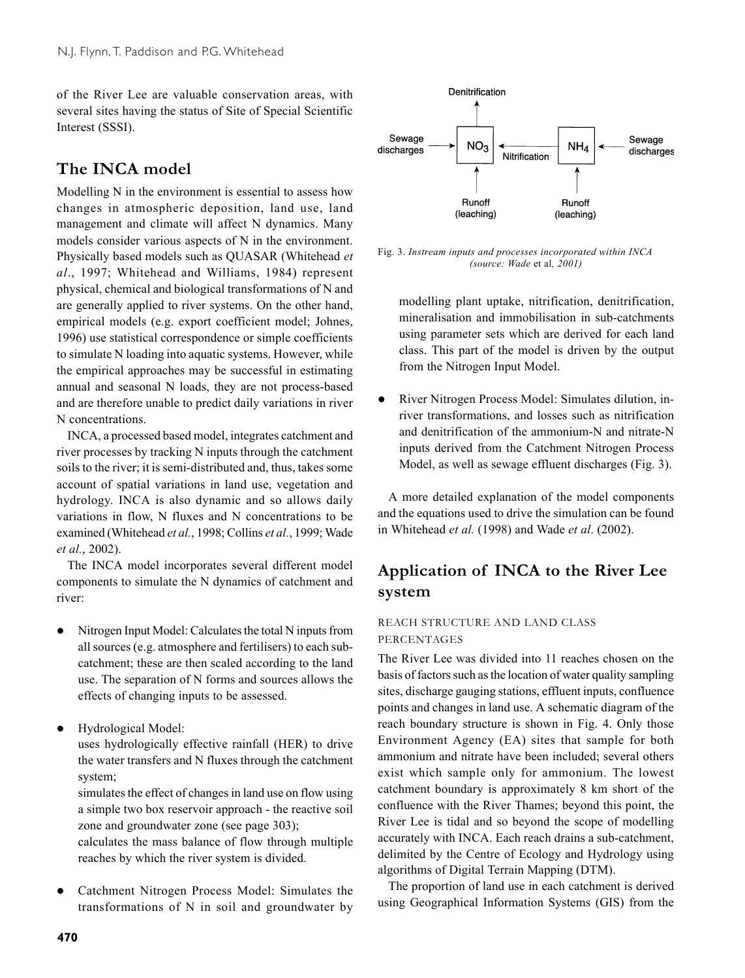of the River Lee are valuable conservation areas, with several sites having the status of Site of Special Scientific Interest (SSSI).

## **The INCA model**

Modelling N in the environment is essential to assess how changes in atmospheric deposition, land use, land management and climate will affect N dynamics. Many models consider various aspects of N in the environment. Physically based models such as QUASAR (Whitehead *et al*., 1997; Whitehead and Williams, 1984) represent physical, chemical and biological transformations of N and are generally applied to river systems. On the other hand, empirical models (e.g. export coefficient model; Johnes, 1996) use statistical correspondence or simple coefficients to simulate N loading into aquatic systems. However, while the empirical approaches may be successful in estimating annual and seasonal N loads, they are not process-based and are therefore unable to predict daily variations in river N concentrations.

INCA, a processed based model, integrates catchment and river processes by tracking N inputs through the catchment soils to the river; it is semi-distributed and, thus, takes some account of spatial variations in land use, vegetation and hydrology. INCA is also dynamic and so allows daily variations in flow, N fluxes and N concentrations to be examined (Whitehead *et al.*, 1998; Collins *et al.*, 1999; Wade *et al.*, 2002).

The INCA model incorporates several different model components to simulate the N dynamics of catchment and river:

- Nitrogen Input Model: Calculates the total N inputs from all sources (e.g. atmosphere and fertilisers) to each subcatchment; these are then scaled according to the land use. The separation of N forms and sources allows the effects of changing inputs to be assessed.
- Hydrological Model:

uses hydrologically effective rainfall (HER) to drive the water transfers and N fluxes through the catchment system;

simulates the effect of changes in land use on flow using a simple two box reservoir approach - the reactive soil zone and groundwater zone (see page 303);

calculates the mass balance of flow through multiple reaches by which the river system is divided.

Catchment Nitrogen Process Model: Simulates the transformations of N in soil and groundwater by



Fig. 3. *Instream inputs and processes incorporated within INCA (source: Wade* et al*, 2001)*

modelling plant uptake, nitrification, denitrification, mineralisation and immobilisation in sub-catchments using parameter sets which are derived for each land class. This part of the model is driven by the output from the Nitrogen Input Model.

River Nitrogen Process Model: Simulates dilution, inriver transformations, and losses such as nitrification and denitrification of the ammonium-N and nitrate-N inputs derived from the Catchment Nitrogen Process Model, as well as sewage effluent discharges (Fig. 3).

A more detailed explanation of the model components and the equations used to drive the simulation can be found in Whitehead *et al.* (1998) and Wade *et al*. (2002).

## **Application of INCA to the River Lee system**

### REACH STRUCTURE AND LAND CLASS PERCENTAGES

The River Lee was divided into 11 reaches chosen on the basis of factors such as the location of water quality sampling sites, discharge gauging stations, effluent inputs, confluence points and changes in land use. A schematic diagram of the reach boundary structure is shown in Fig. 4. Only those Environment Agency (EA) sites that sample for both ammonium and nitrate have been included; several others exist which sample only for ammonium. The lowest catchment boundary is approximately 8 km short of the confluence with the River Thames; beyond this point, the River Lee is tidal and so beyond the scope of modelling accurately with INCA. Each reach drains a sub-catchment, delimited by the Centre of Ecology and Hydrology using algorithms of Digital Terrain Mapping (DTM).

The proportion of land use in each catchment is derived using Geographical Information Systems (GIS) from the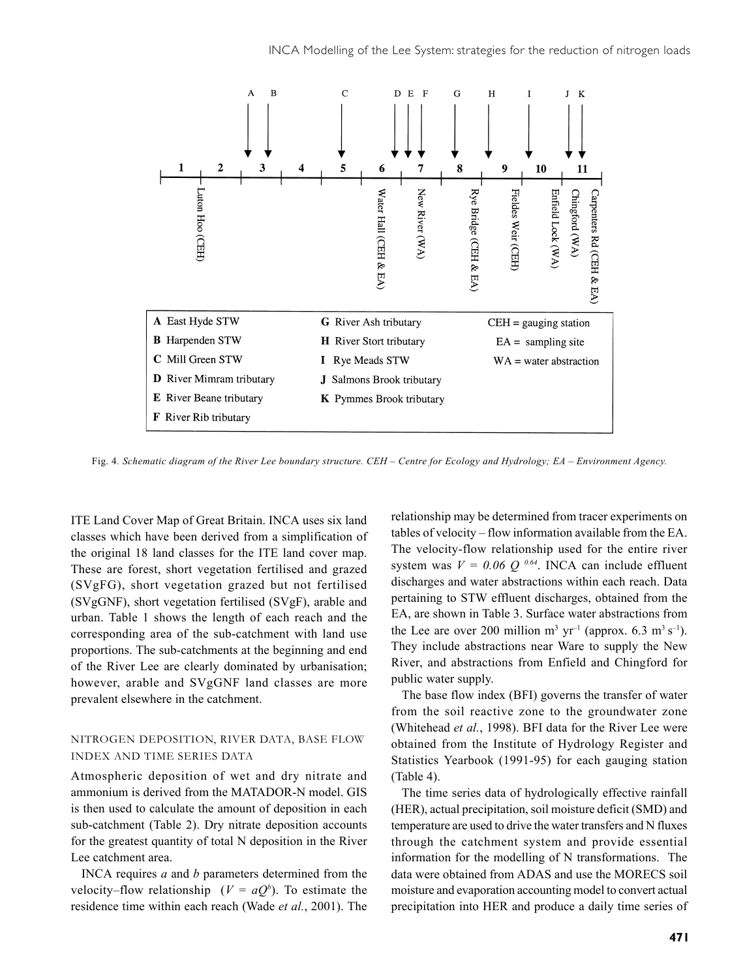

Fig. 4*. Schematic diagram of the River Lee boundary structure. CEH – Centre for Ecology and Hydrology; EA – Environment Agency.*

ITE Land Cover Map of Great Britain. INCA uses six land classes which have been derived from a simplification of the original 18 land classes for the ITE land cover map. These are forest, short vegetation fertilised and grazed (SVgFG), short vegetation grazed but not fertilised (SVgGNF), short vegetation fertilised (SVgF), arable and urban. Table 1 shows the length of each reach and the corresponding area of the sub-catchment with land use proportions. The sub-catchments at the beginning and end of the River Lee are clearly dominated by urbanisation; however, arable and SVgGNF land classes are more prevalent elsewhere in the catchment.

#### NITROGEN DEPOSITION, RIVER DATA, BASE FLOW INDEX AND TIME SERIES DATA

Atmospheric deposition of wet and dry nitrate and ammonium is derived from the MATADOR-N model. GIS is then used to calculate the amount of deposition in each sub-catchment (Table 2). Dry nitrate deposition accounts for the greatest quantity of total N deposition in the River Lee catchment area.

INCA requires *a* and *b* parameters determined from the velocity–flow relationship  $(V = aQ^b)$ . To estimate the residence time within each reach (Wade *et al.*, 2001). The relationship may be determined from tracer experiments on tables of velocity – flow information available from the EA. The velocity-flow relationship used for the entire river system was  $V = 0.06 Q^{0.64}$ . INCA can include effluent discharges and water abstractions within each reach. Data pertaining to STW effluent discharges, obtained from the EA, are shown in Table 3. Surface water abstractions from the Lee are over 200 million  $m^3$  yr<sup>-1</sup> (approx. 6.3  $m^3$  s<sup>-1</sup>). They include abstractions near Ware to supply the New River, and abstractions from Enfield and Chingford for public water supply.

The base flow index (BFI) governs the transfer of water from the soil reactive zone to the groundwater zone (Whitehead *et al.*, 1998). BFI data for the River Lee were obtained from the Institute of Hydrology Register and Statistics Yearbook (1991-95) for each gauging station (Table 4).

The time series data of hydrologically effective rainfall (HER), actual precipitation, soil moisture deficit (SMD) and temperature are used to drive the water transfers and N fluxes through the catchment system and provide essential information for the modelling of N transformations. The data were obtained from ADAS and use the MORECS soil moisture and evaporation accounting model to convert actual precipitation into HER and produce a daily time series of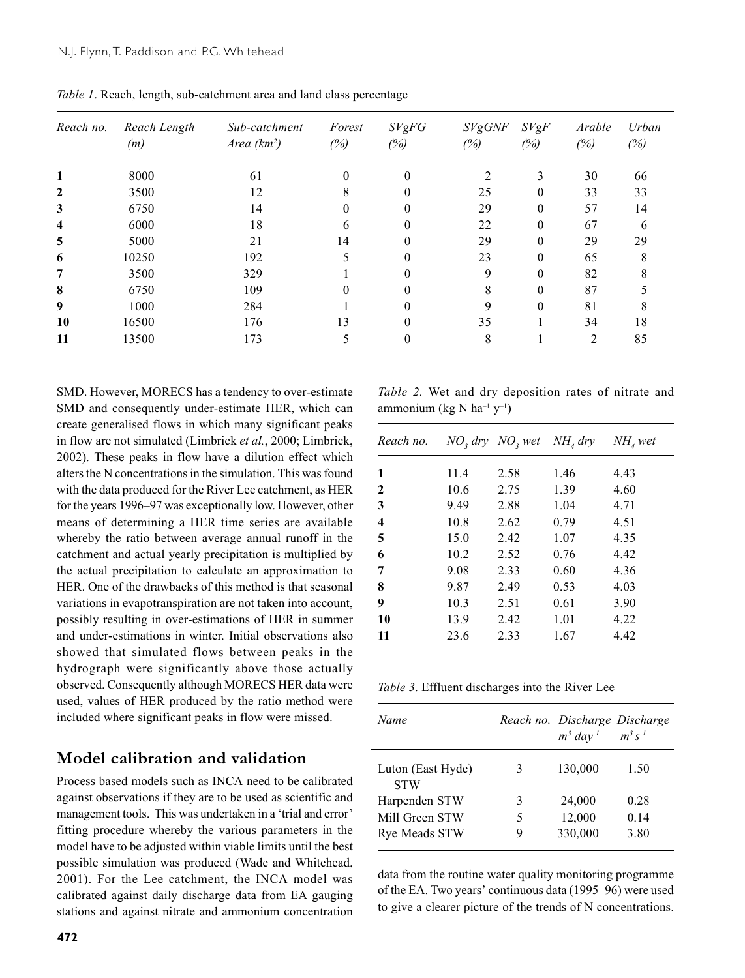| Reach no.    | Reach Length<br>(m) | Sub-catchment<br>Area $(km^2)$ | Forest<br>(%) | SVgFG<br>(%) | <b>SVgGNF</b><br>(%) | SVgF<br>(%) | Arable<br>(%)  | Urban<br>(%) |
|--------------|---------------------|--------------------------------|---------------|--------------|----------------------|-------------|----------------|--------------|
| 1            | 8000                | 61                             | $\theta$      | $\theta$     | 2                    | 3           | 30             | 66           |
| 2            | 3500                | 12                             | 8             | $\theta$     | 25                   | $\theta$    | 33             | 33           |
| $\mathbf{3}$ | 6750                | 14                             | 0             | $\theta$     | 29                   | $\theta$    | 57             | 14           |
| 4            | 6000                | 18                             | 6             | $\theta$     | 22                   | $\theta$    | 67             | 6            |
| 5            | 5000                | 21                             | 14            | $\theta$     | 29                   | $\theta$    | 29             | 29           |
| 6            | 10250               | 192                            |               | $\theta$     | 23                   | $\theta$    | 65             | 8            |
| 7            | 3500                | 329                            |               | 0            | 9                    | $\theta$    | 82             |              |
| 8            | 6750                | 109                            | 0             | $\Omega$     | 8                    | $\Omega$    | 87             |              |
| 9            | 1000                | 284                            |               | $\theta$     | 9                    | $\theta$    | 81             |              |
| 10           | 16500               | 176                            | 13            | $\Omega$     | 35                   |             | 34             | 18           |
| 11           | 13500               | 173                            | 5             | $\theta$     | 8                    |             | $\overline{2}$ | 85           |

*Table 1*. Reach, length, sub-catchment area and land class percentage

SMD. However, MORECS has a tendency to over-estimate SMD and consequently under-estimate HER, which can create generalised flows in which many significant peaks in flow are not simulated (Limbrick *et al.*, 2000; Limbrick, 2002). These peaks in flow have a dilution effect which alters the N concentrations in the simulation. This was found with the data produced for the River Lee catchment, as HER for the years 1996–97 was exceptionally low. However, other means of determining a HER time series are available whereby the ratio between average annual runoff in the catchment and actual yearly precipitation is multiplied by the actual precipitation to calculate an approximation to HER. One of the drawbacks of this method is that seasonal variations in evapotranspiration are not taken into account, possibly resulting in over-estimations of HER in summer and under-estimations in winter. Initial observations also showed that simulated flows between peaks in the hydrograph were significantly above those actually observed. Consequently although MORECS HER data were used, values of HER produced by the ratio method were included where significant peaks in flow were missed.

## **Model calibration and validation**

Process based models such as INCA need to be calibrated against observations if they are to be used as scientific and management tools. This was undertaken in a 'trial and error' fitting procedure whereby the various parameters in the model have to be adjusted within viable limits until the best possible simulation was produced (Wade and Whitehead, 2001). For the Lee catchment, the INCA model was calibrated against daily discharge data from EA gauging stations and against nitrate and ammonium concentration

*Table 2.* Wet and dry deposition rates of nitrate and ammonium (kg N ha<sup>-1</sup>  $y$ <sup>-1</sup>)

| Reach no. |      | $NO$ , dry $NO$ , wet $NH$ <sub>4</sub> dry |      | $NH4$ wet |
|-----------|------|---------------------------------------------|------|-----------|
| 1         | 11.4 | 2.58                                        | 1.46 | 4.43      |
| 2         | 10.6 | 2.75                                        | 1.39 | 4.60      |
| 3         | 9.49 | 2.88                                        | 1.04 | 4.71      |
| 4         | 10.8 | 2.62                                        | 0.79 | 4.51      |
| 5         | 15.0 | 2.42                                        | 1.07 | 4.35      |
| 6         | 10.2 | 2.52                                        | 0.76 | 4.42      |
| 7         | 9.08 | 2.33                                        | 0.60 | 4.36      |
| 8         | 9.87 | 2.49                                        | 0.53 | 4.03      |
| 9         | 10.3 | 2.51                                        | 0.61 | 3.90      |
| 10        | 13.9 | 2.42                                        | 1.01 | 4.22      |
| 11        | 23.6 | 2.33                                        | 1.67 | 4.42      |
|           |      |                                             |      |           |

*Table 3*. Effluent discharges into the River Lee

| Name                            |   | Reach no. Discharge Discharge<br>$m^3$ day <sup>-1</sup> | $m^3s^{-1}$ |
|---------------------------------|---|----------------------------------------------------------|-------------|
| Luton (East Hyde)<br><b>STW</b> | 3 | 130,000                                                  | 1.50        |
| Harpenden STW                   | 3 | 24,000                                                   | 0.28        |
| Mill Green STW                  | 5 | 12,000                                                   | 0.14        |
| Rye Meads STW                   | 9 | 330,000                                                  | 3.80        |

data from the routine water quality monitoring programme of the EA. Two years' continuous data (1995–96) were used to give a clearer picture of the trends of N concentrations.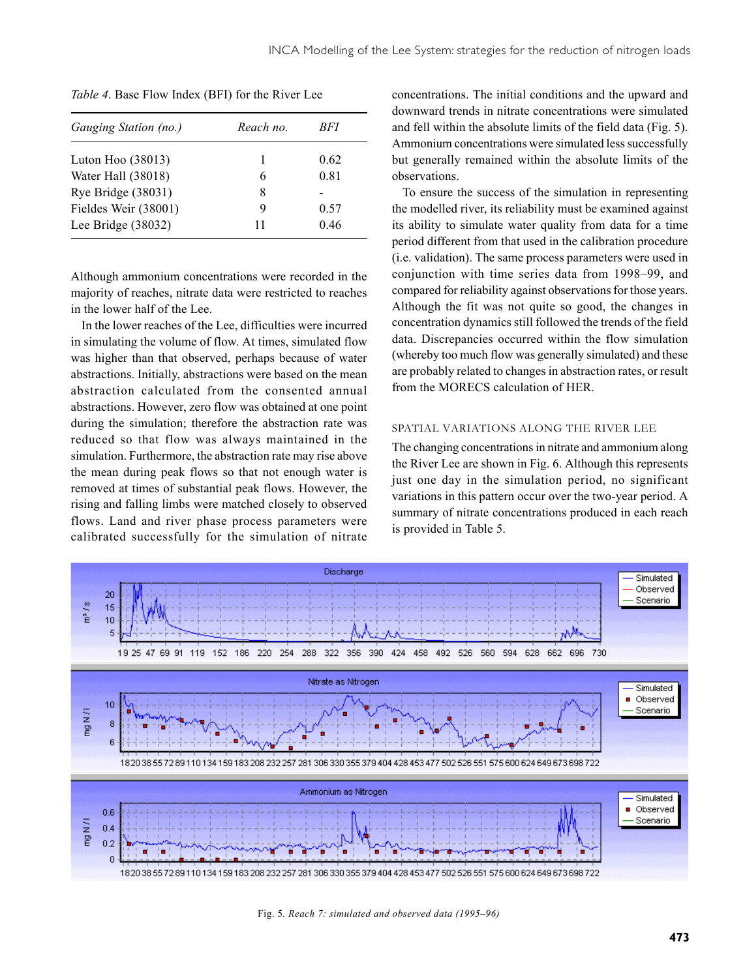| Gauging Station (no.) | Reach no. | RFT. |
|-----------------------|-----------|------|
| Luton Hoo $(38013)$   | 1         | 0.62 |
| Water Hall (38018)    | 6         | 0.81 |
| Rye Bridge (38031)    | 8         |      |
| Fieldes Weir (38001)  | Q         | 0.57 |
| Lee Bridge $(38032)$  | 11        | 0.46 |

*Table 4*. Base Flow Index (BFI) for the River Lee

Although ammonium concentrations were recorded in the majority of reaches, nitrate data were restricted to reaches in the lower half of the Lee.

In the lower reaches of the Lee, difficulties were incurred in simulating the volume of flow. At times, simulated flow was higher than that observed, perhaps because of water abstractions. Initially, abstractions were based on the mean abstraction calculated from the consented annual abstractions. However, zero flow was obtained at one point during the simulation; therefore the abstraction rate was reduced so that flow was always maintained in the simulation. Furthermore, the abstraction rate may rise above the mean during peak flows so that not enough water is removed at times of substantial peak flows. However, the rising and falling limbs were matched closely to observed flows. Land and river phase process parameters were calibrated successfully for the simulation of nitrate

concentrations. The initial conditions and the upward and downward trends in nitrate concentrations were simulated and fell within the absolute limits of the field data (Fig. 5). Ammonium concentrations were simulated less successfully but generally remained within the absolute limits of the observations.

To ensure the success of the simulation in representing the modelled river, its reliability must be examined against its ability to simulate water quality from data for a time period different from that used in the calibration procedure (i.e. validation). The same process parameters were used in conjunction with time series data from 1998–99, and compared for reliability against observations for those years. Although the fit was not quite so good, the changes in concentration dynamics still followed the trends of the field data. Discrepancies occurred within the flow simulation (whereby too much flow was generally simulated) and these are probably related to changes in abstraction rates, or result from the MORECS calculation of HER.

#### SPATIAL VARIATIONS ALONG THE RIVER LEE

The changing concentrations in nitrate and ammonium along the River Lee are shown in Fig. 6. Although this represents just one day in the simulation period, no significant variations in this pattern occur over the two-year period. A summary of nitrate concentrations produced in each reach is provided in Table 5.



Fig. 5*. Reach 7: simulated and observed data (1995–96)*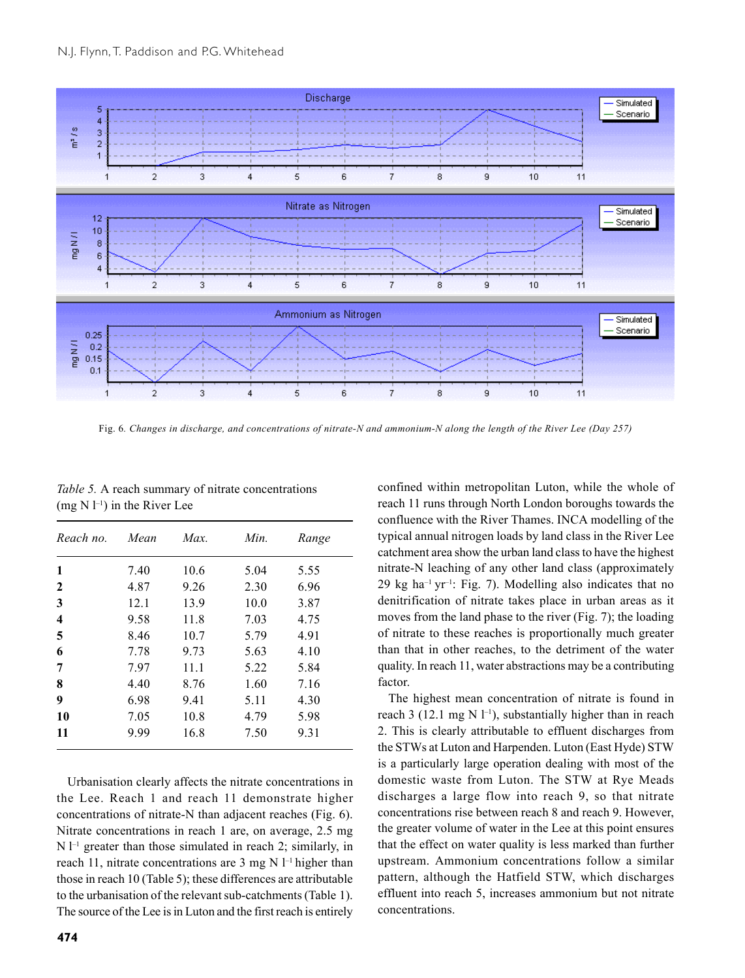

Fig. 6*. Changes in discharge, and concentrations of nitrate-N and ammonium-N along the length of the River Lee (Day 257)*

| Reach no. | Mean | Max. | Min. | Range |
|-----------|------|------|------|-------|
| 1         | 7.40 | 10.6 | 5.04 | 5.55  |
| 2         | 4.87 | 9.26 | 2.30 | 6.96  |
| 3         | 12.1 | 13.9 | 10.0 | 3.87  |
| 4         | 9.58 | 11.8 | 7.03 | 4.75  |
| 5         | 8.46 | 10.7 | 5.79 | 4.91  |
| 6         | 7.78 | 9.73 | 5.63 | 4.10  |
| 7         | 7.97 | 11.1 | 5.22 | 5.84  |
| 8         | 4.40 | 8.76 | 1.60 | 7.16  |
| 9         | 6.98 | 9.41 | 5.11 | 4.30  |
| 10        | 7.05 | 10.8 | 4.79 | 5.98  |
| 11        | 9.99 | 16.8 | 7.50 | 9.31  |

*Table 5.* A reach summary of nitrate concentrations  $(mg N l^{-1})$  in the River Lee

Urbanisation clearly affects the nitrate concentrations in the Lee. Reach 1 and reach 11 demonstrate higher concentrations of nitrate-N than adjacent reaches (Fig. 6). Nitrate concentrations in reach 1 are, on average, 2.5 mg  $N$  l<sup>-1</sup> greater than those simulated in reach 2; similarly, in reach 11, nitrate concentrations are 3 mg N  $l^{-1}$  higher than those in reach 10 (Table 5); these differences are attributable to the urbanisation of the relevant sub-catchments (Table 1). The source of the Lee is in Luton and the first reach is entirely

reach 11 runs through North London boroughs towards the confluence with the River Thames. INCA modelling of the typical annual nitrogen loads by land class in the River Lee catchment area show the urban land class to have the highest nitrate-N leaching of any other land class (approximately 29 kg ha<sup>-1</sup> yr<sup>-1</sup>: Fig. 7). Modelling also indicates that no denitrification of nitrate takes place in urban areas as it moves from the land phase to the river (Fig. 7); the loading of nitrate to these reaches is proportionally much greater than that in other reaches, to the detriment of the water quality. In reach 11, water abstractions may be a contributing factor. The highest mean concentration of nitrate is found in

confined within metropolitan Luton, while the whole of

reach 3 (12.1 mg N  $l^{-1}$ ), substantially higher than in reach 2. This is clearly attributable to effluent discharges from the STWs at Luton and Harpenden. Luton (East Hyde) STW is a particularly large operation dealing with most of the domestic waste from Luton. The STW at Rye Meads discharges a large flow into reach 9, so that nitrate concentrations rise between reach 8 and reach 9. However, the greater volume of water in the Lee at this point ensures that the effect on water quality is less marked than further upstream. Ammonium concentrations follow a similar pattern, although the Hatfield STW, which discharges effluent into reach 5, increases ammonium but not nitrate concentrations.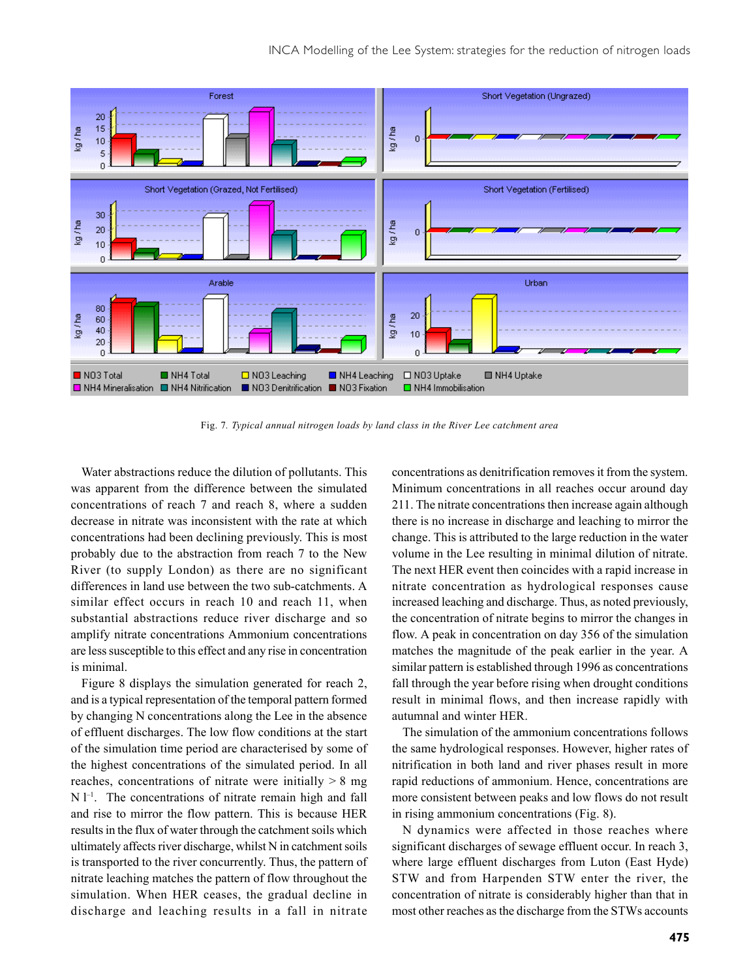

Fig. 7*. Typical annual nitrogen loads by land class in the River Lee catchment area*

Water abstractions reduce the dilution of pollutants. This was apparent from the difference between the simulated concentrations of reach 7 and reach 8, where a sudden decrease in nitrate was inconsistent with the rate at which concentrations had been declining previously. This is most probably due to the abstraction from reach 7 to the New River (to supply London) as there are no significant differences in land use between the two sub-catchments. A similar effect occurs in reach 10 and reach 11, when substantial abstractions reduce river discharge and so amplify nitrate concentrations Ammonium concentrations are less susceptible to this effect and any rise in concentration is minimal.

Figure 8 displays the simulation generated for reach 2, and is a typical representation of the temporal pattern formed by changing N concentrations along the Lee in the absence of effluent discharges. The low flow conditions at the start of the simulation time period are characterised by some of the highest concentrations of the simulated period. In all reaches, concentrations of nitrate were initially  $> 8$  mg  $N$  l<sup>-1</sup>. The concentrations of nitrate remain high and fall and rise to mirror the flow pattern. This is because HER results in the flux of water through the catchment soils which ultimately affects river discharge, whilst N in catchment soils is transported to the river concurrently. Thus, the pattern of nitrate leaching matches the pattern of flow throughout the simulation. When HER ceases, the gradual decline in discharge and leaching results in a fall in nitrate

concentrations as denitrification removes it from the system. Minimum concentrations in all reaches occur around day 211. The nitrate concentrations then increase again although there is no increase in discharge and leaching to mirror the change. This is attributed to the large reduction in the water volume in the Lee resulting in minimal dilution of nitrate. The next HER event then coincides with a rapid increase in nitrate concentration as hydrological responses cause increased leaching and discharge. Thus, as noted previously, the concentration of nitrate begins to mirror the changes in flow. A peak in concentration on day 356 of the simulation matches the magnitude of the peak earlier in the year. A similar pattern is established through 1996 as concentrations fall through the year before rising when drought conditions result in minimal flows, and then increase rapidly with autumnal and winter HER.

The simulation of the ammonium concentrations follows the same hydrological responses. However, higher rates of nitrification in both land and river phases result in more rapid reductions of ammonium. Hence, concentrations are more consistent between peaks and low flows do not result in rising ammonium concentrations (Fig. 8).

N dynamics were affected in those reaches where significant discharges of sewage effluent occur. In reach 3, where large effluent discharges from Luton (East Hyde) STW and from Harpenden STW enter the river, the concentration of nitrate is considerably higher than that in most other reaches as the discharge from the STWs accounts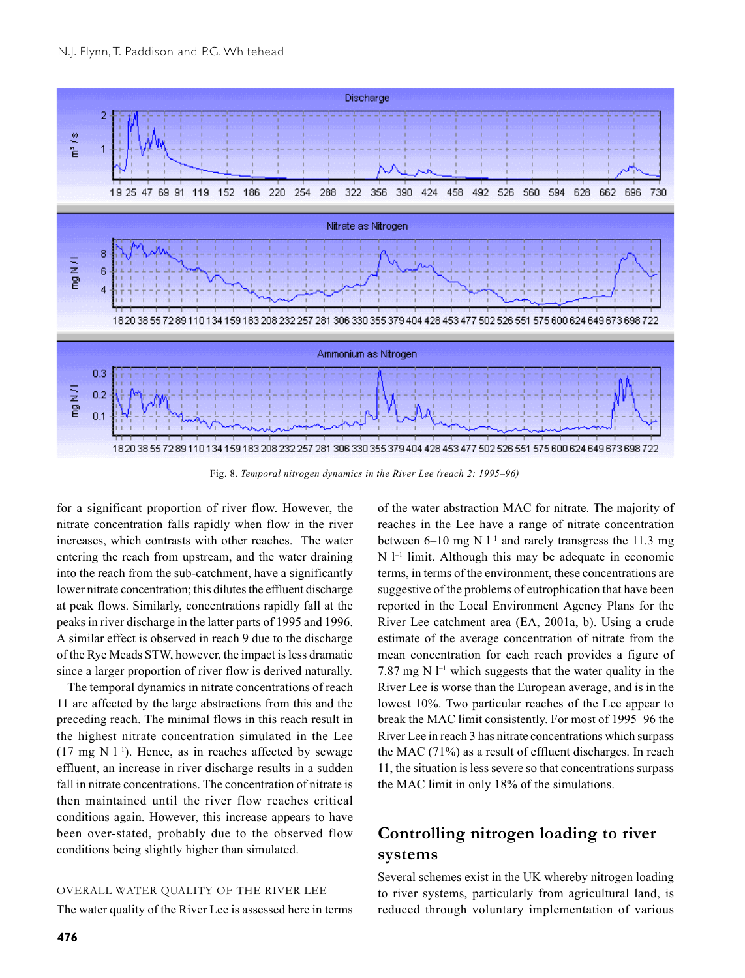

Fig. 8. *Temporal nitrogen dynamics in the River Lee (reach 2: 1995–96)*

for a significant proportion of river flow. However, the nitrate concentration falls rapidly when flow in the river increases, which contrasts with other reaches. The water entering the reach from upstream, and the water draining into the reach from the sub-catchment, have a significantly lower nitrate concentration; this dilutes the effluent discharge at peak flows. Similarly, concentrations rapidly fall at the peaks in river discharge in the latter parts of 1995 and 1996. A similar effect is observed in reach 9 due to the discharge of the Rye Meads STW, however, the impact is less dramatic since a larger proportion of river flow is derived naturally.

The temporal dynamics in nitrate concentrations of reach 11 are affected by the large abstractions from this and the preceding reach. The minimal flows in this reach result in the highest nitrate concentration simulated in the Lee  $(17 \text{ mg N } 1^{-1})$ . Hence, as in reaches affected by sewage effluent, an increase in river discharge results in a sudden fall in nitrate concentrations. The concentration of nitrate is then maintained until the river flow reaches critical conditions again. However, this increase appears to have been over-stated, probably due to the observed flow conditions being slightly higher than simulated.

#### OVERALL WATER QUALITY OF THE RIVER LEE

The water quality of the River Lee is assessed here in terms

of the water abstraction MAC for nitrate. The majority of reaches in the Lee have a range of nitrate concentration between 6–10 mg N  $l^{-1}$  and rarely transgress the 11.3 mg  $N$  l<sup>-1</sup> limit. Although this may be adequate in economic terms, in terms of the environment, these concentrations are suggestive of the problems of eutrophication that have been reported in the Local Environment Agency Plans for the River Lee catchment area (EA, 2001a, b). Using a crude estimate of the average concentration of nitrate from the mean concentration for each reach provides a figure of 7.87 mg N  $l^{-1}$  which suggests that the water quality in the River Lee is worse than the European average, and is in the lowest 10%. Two particular reaches of the Lee appear to break the MAC limit consistently. For most of 1995–96 the River Lee in reach 3 has nitrate concentrations which surpass the MAC (71%) as a result of effluent discharges. In reach 11, the situation is less severe so that concentrations surpass the MAC limit in only 18% of the simulations.

## **Controlling nitrogen loading to river systems**

Several schemes exist in the UK whereby nitrogen loading to river systems, particularly from agricultural land, is reduced through voluntary implementation of various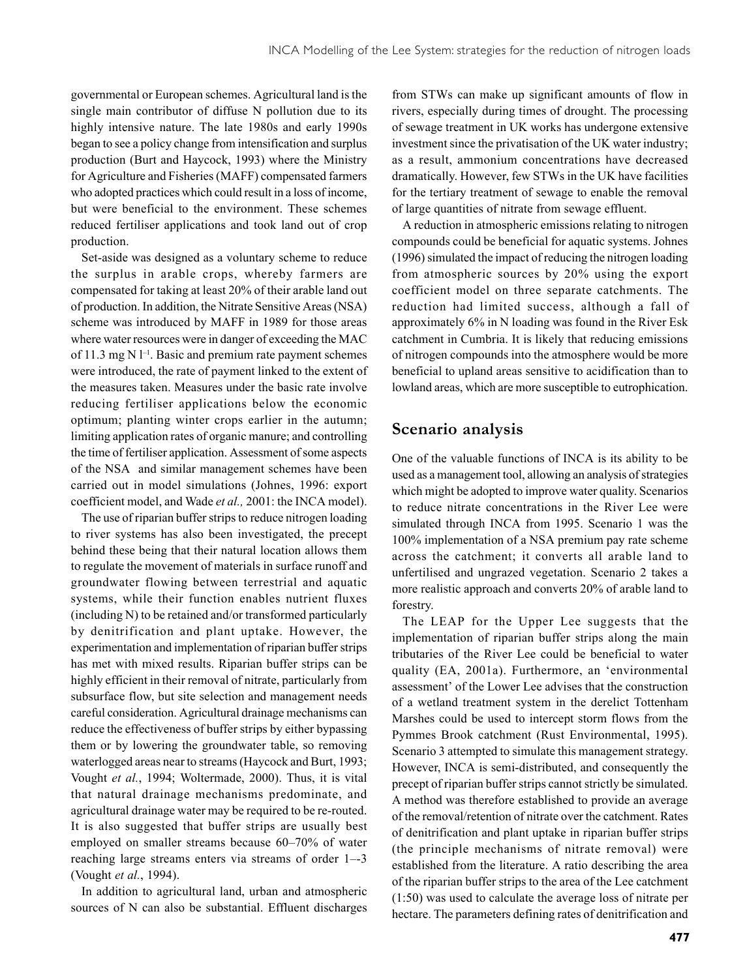governmental or European schemes. Agricultural land is the single main contributor of diffuse N pollution due to its highly intensive nature. The late 1980s and early 1990s began to see a policy change from intensification and surplus production (Burt and Haycock, 1993) where the Ministry for Agriculture and Fisheries (MAFF) compensated farmers who adopted practices which could result in a loss of income, but were beneficial to the environment. These schemes reduced fertiliser applications and took land out of crop production.

Set-aside was designed as a voluntary scheme to reduce the surplus in arable crops, whereby farmers are compensated for taking at least 20% of their arable land out of production. In addition, the Nitrate Sensitive Areas (NSA) scheme was introduced by MAFF in 1989 for those areas where water resources were in danger of exceeding the MAC of 11.3 mg N  $l^{-1}$ . Basic and premium rate payment schemes were introduced, the rate of payment linked to the extent of the measures taken. Measures under the basic rate involve reducing fertiliser applications below the economic optimum; planting winter crops earlier in the autumn; limiting application rates of organic manure; and controlling the time of fertiliser application. Assessment of some aspects of the NSA and similar management schemes have been carried out in model simulations (Johnes, 1996: export coefficient model, and Wade *et al.,* 2001: the INCA model).

The use of riparian buffer strips to reduce nitrogen loading to river systems has also been investigated, the precept behind these being that their natural location allows them to regulate the movement of materials in surface runoff and groundwater flowing between terrestrial and aquatic systems, while their function enables nutrient fluxes (including N) to be retained and/or transformed particularly by denitrification and plant uptake. However, the experimentation and implementation of riparian buffer strips has met with mixed results. Riparian buffer strips can be highly efficient in their removal of nitrate, particularly from subsurface flow, but site selection and management needs careful consideration. Agricultural drainage mechanisms can reduce the effectiveness of buffer strips by either bypassing them or by lowering the groundwater table, so removing waterlogged areas near to streams (Haycock and Burt, 1993; Vought *et al.*, 1994; Woltermade, 2000). Thus, it is vital that natural drainage mechanisms predominate, and agricultural drainage water may be required to be re-routed. It is also suggested that buffer strips are usually best employed on smaller streams because 60–70% of water reaching large streams enters via streams of order 1–-3 (Vought *et al.*, 1994).

In addition to agricultural land, urban and atmospheric sources of N can also be substantial. Effluent discharges

from STWs can make up significant amounts of flow in rivers, especially during times of drought. The processing of sewage treatment in UK works has undergone extensive investment since the privatisation of the UK water industry; as a result, ammonium concentrations have decreased dramatically. However, few STWs in the UK have facilities for the tertiary treatment of sewage to enable the removal of large quantities of nitrate from sewage effluent.

A reduction in atmospheric emissions relating to nitrogen compounds could be beneficial for aquatic systems. Johnes (1996) simulated the impact of reducing the nitrogen loading from atmospheric sources by 20% using the export coefficient model on three separate catchments. The reduction had limited success, although a fall of approximately 6% in N loading was found in the River Esk catchment in Cumbria. It is likely that reducing emissions of nitrogen compounds into the atmosphere would be more beneficial to upland areas sensitive to acidification than to lowland areas, which are more susceptible to eutrophication.

## **Scenario analysis**

One of the valuable functions of INCA is its ability to be used as a management tool, allowing an analysis of strategies which might be adopted to improve water quality. Scenarios to reduce nitrate concentrations in the River Lee were simulated through INCA from 1995. Scenario 1 was the 100% implementation of a NSA premium pay rate scheme across the catchment; it converts all arable land to unfertilised and ungrazed vegetation. Scenario 2 takes a more realistic approach and converts 20% of arable land to forestry.

The LEAP for the Upper Lee suggests that the implementation of riparian buffer strips along the main tributaries of the River Lee could be beneficial to water quality (EA, 2001a). Furthermore, an 'environmental assessment' of the Lower Lee advises that the construction of a wetland treatment system in the derelict Tottenham Marshes could be used to intercept storm flows from the Pymmes Brook catchment (Rust Environmental, 1995). Scenario 3 attempted to simulate this management strategy. However, INCA is semi-distributed, and consequently the precept of riparian buffer strips cannot strictly be simulated. A method was therefore established to provide an average of the removal/retention of nitrate over the catchment. Rates of denitrification and plant uptake in riparian buffer strips (the principle mechanisms of nitrate removal) were established from the literature. A ratio describing the area of the riparian buffer strips to the area of the Lee catchment (1:50) was used to calculate the average loss of nitrate per hectare. The parameters defining rates of denitrification and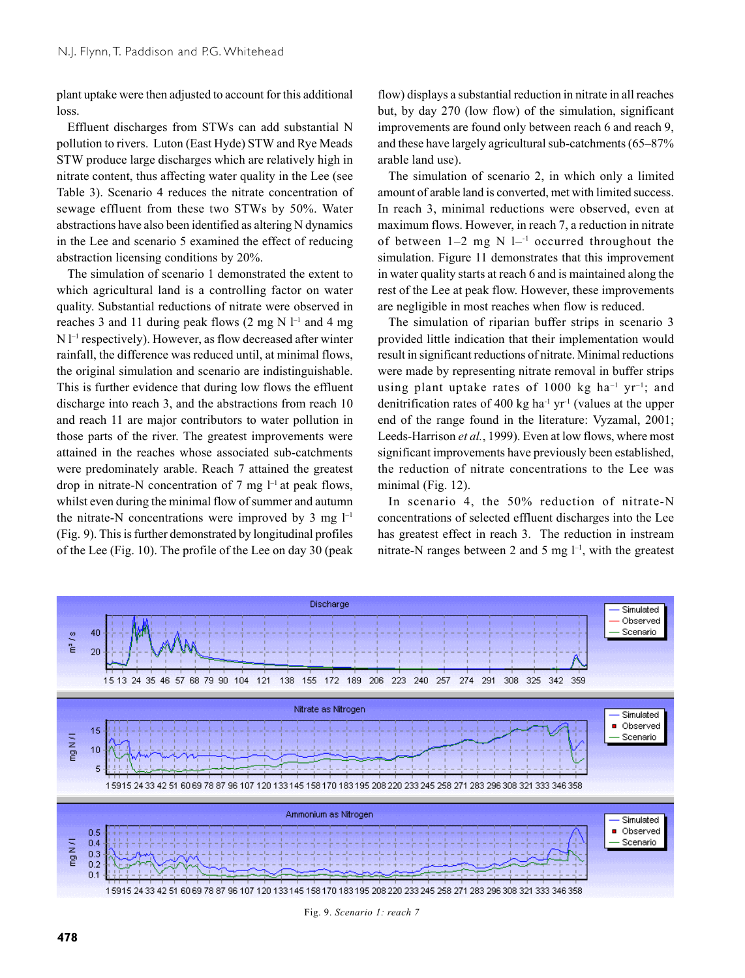plant uptake were then adjusted to account for this additional loss.

Effluent discharges from STWs can add substantial N pollution to rivers. Luton (East Hyde) STW and Rye Meads STW produce large discharges which are relatively high in nitrate content, thus affecting water quality in the Lee (see Table 3). Scenario 4 reduces the nitrate concentration of sewage effluent from these two STWs by 50%. Water abstractions have also been identified as altering N dynamics in the Lee and scenario 5 examined the effect of reducing abstraction licensing conditions by 20%.

The simulation of scenario 1 demonstrated the extent to which agricultural land is a controlling factor on water quality. Substantial reductions of nitrate were observed in reaches 3 and 11 during peak flows  $(2 \text{ mg N } l^{-1}$  and 4 mg  $N<sup>1</sup>$  respectively). However, as flow decreased after winter rainfall, the difference was reduced until, at minimal flows, the original simulation and scenario are indistinguishable. This is further evidence that during low flows the effluent discharge into reach 3, and the abstractions from reach 10 and reach 11 are major contributors to water pollution in those parts of the river. The greatest improvements were attained in the reaches whose associated sub-catchments were predominately arable. Reach 7 attained the greatest drop in nitrate-N concentration of 7 mg  $l^{-1}$  at peak flows, whilst even during the minimal flow of summer and autumn the nitrate-N concentrations were improved by 3 mg  $l^{-1}$ (Fig. 9). This is further demonstrated by longitudinal profiles of the Lee (Fig. 10). The profile of the Lee on day 30 (peak

flow) displays a substantial reduction in nitrate in all reaches but, by day 270 (low flow) of the simulation, significant improvements are found only between reach 6 and reach 9, and these have largely agricultural sub-catchments (65–87% arable land use).

The simulation of scenario 2, in which only a limited amount of arable land is converted, met with limited success. In reach 3, minimal reductions were observed, even at maximum flows. However, in reach 7, a reduction in nitrate of between  $1-2$  mg N  $1-1$  occurred throughout the simulation. Figure 11 demonstrates that this improvement in water quality starts at reach 6 and is maintained along the rest of the Lee at peak flow. However, these improvements are negligible in most reaches when flow is reduced.

The simulation of riparian buffer strips in scenario 3 provided little indication that their implementation would result in significant reductions of nitrate. Minimal reductions were made by representing nitrate removal in buffer strips using plant uptake rates of 1000 kg ha<sup>-1</sup> yr<sup>-1</sup>; and denitrification rates of 400 kg ha<sup>-1</sup> yr<sup>-1</sup> (values at the upper end of the range found in the literature: Vyzamal, 2001; Leeds-Harrison *et al.*, 1999). Even at low flows, where most significant improvements have previously been established, the reduction of nitrate concentrations to the Lee was minimal (Fig. 12).

In scenario 4, the 50% reduction of nitrate-N concentrations of selected effluent discharges into the Lee has greatest effect in reach 3. The reduction in instream nitrate-N ranges between 2 and 5 mg  $l^{-1}$ , with the greatest



Fig. 9. *Scenario 1: reach 7*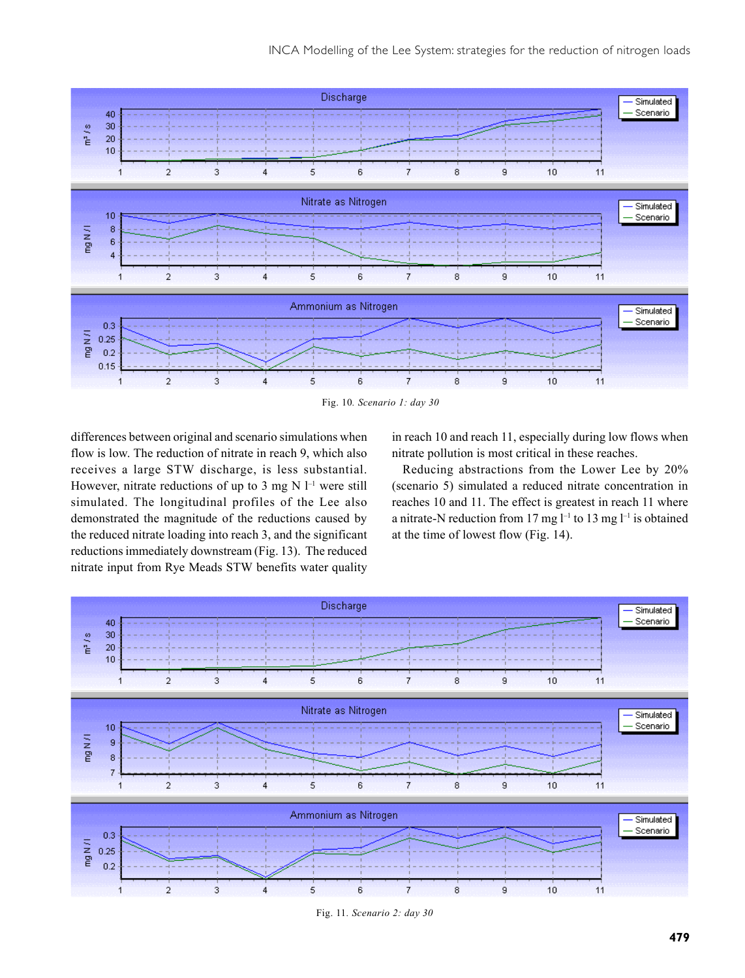

Fig. 10*. Scenario 1: day 30*

differences between original and scenario simulations when flow is low. The reduction of nitrate in reach 9, which also receives a large STW discharge, is less substantial. However, nitrate reductions of up to 3 mg N  $\mathbb{I}^{-1}$  were still simulated. The longitudinal profiles of the Lee also demonstrated the magnitude of the reductions caused by the reduced nitrate loading into reach 3, and the significant reductions immediately downstream (Fig. 13). The reduced nitrate input from Rye Meads STW benefits water quality

in reach 10 and reach 11, especially during low flows when nitrate pollution is most critical in these reaches.

Reducing abstractions from the Lower Lee by 20% (scenario 5) simulated a reduced nitrate concentration in reaches 10 and 11. The effect is greatest in reach 11 where a nitrate-N reduction from 17 mg  $l^{-1}$  to 13 mg  $l^{-1}$  is obtained at the time of lowest flow (Fig. 14).



Fig. 11*. Scenario 2: day 30*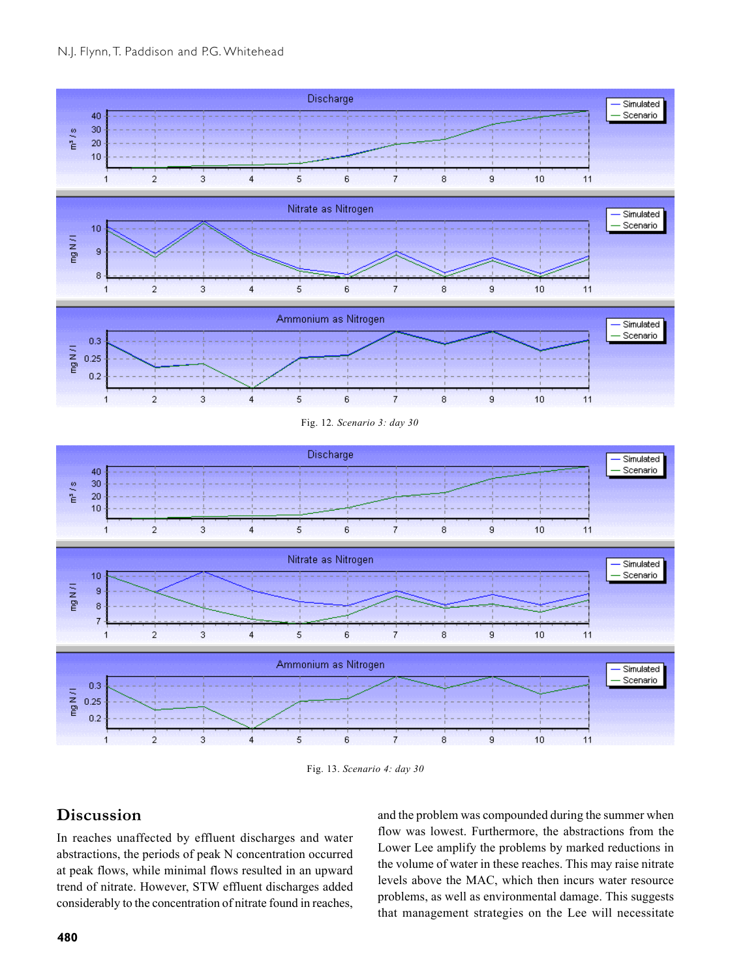



Fig. 13. *Scenario 4: day 30*

## **Discussion**

In reaches unaffected by effluent discharges and water abstractions, the periods of peak N concentration occurred at peak flows, while minimal flows resulted in an upward trend of nitrate. However, STW effluent discharges added considerably to the concentration of nitrate found in reaches,

and the problem was compounded during the summer when flow was lowest. Furthermore, the abstractions from the Lower Lee amplify the problems by marked reductions in the volume of water in these reaches. This may raise nitrate levels above the MAC, which then incurs water resource problems, as well as environmental damage. This suggests that management strategies on the Lee will necessitate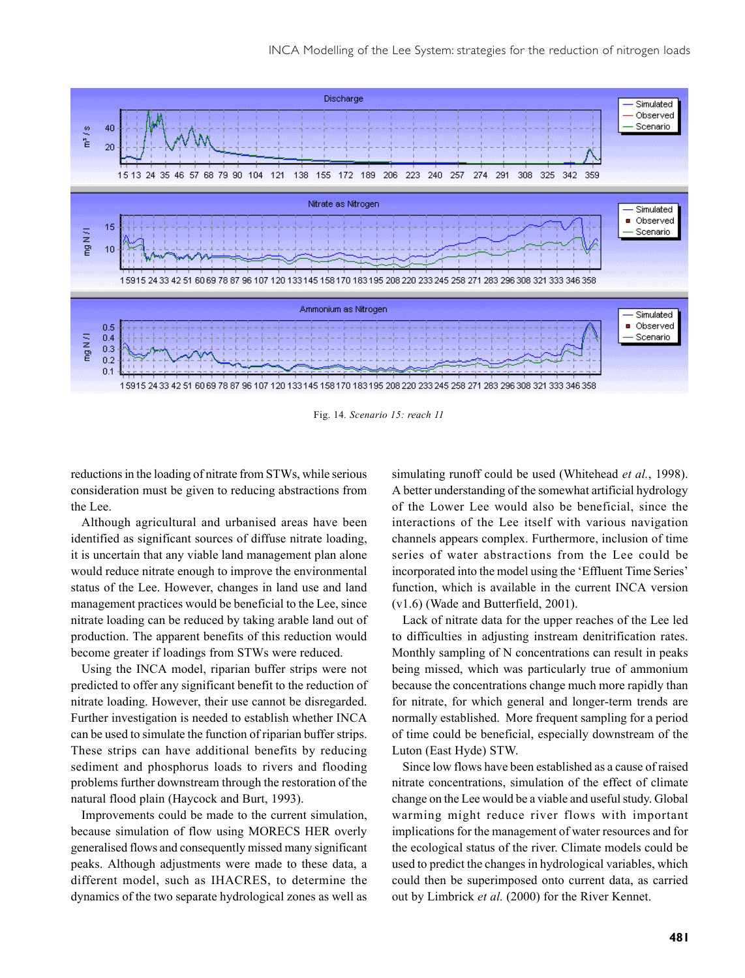

Fig. 14*. Scenario 15: reach 11*

reductions in the loading of nitrate from STWs, while serious consideration must be given to reducing abstractions from the Lee.

Although agricultural and urbanised areas have been identified as significant sources of diffuse nitrate loading, it is uncertain that any viable land management plan alone would reduce nitrate enough to improve the environmental status of the Lee. However, changes in land use and land management practices would be beneficial to the Lee, since nitrate loading can be reduced by taking arable land out of production. The apparent benefits of this reduction would become greater if loadings from STWs were reduced.

Using the INCA model, riparian buffer strips were not predicted to offer any significant benefit to the reduction of nitrate loading. However, their use cannot be disregarded. Further investigation is needed to establish whether INCA can be used to simulate the function of riparian buffer strips. These strips can have additional benefits by reducing sediment and phosphorus loads to rivers and flooding problems further downstream through the restoration of the natural flood plain (Haycock and Burt, 1993).

Improvements could be made to the current simulation, because simulation of flow using MORECS HER overly generalised flows and consequently missed many significant peaks. Although adjustments were made to these data, a different model, such as IHACRES, to determine the dynamics of the two separate hydrological zones as well as

simulating runoff could be used (Whitehead *et al.*, 1998). A better understanding of the somewhat artificial hydrology of the Lower Lee would also be beneficial, since the interactions of the Lee itself with various navigation channels appears complex. Furthermore, inclusion of time series of water abstractions from the Lee could be incorporated into the model using the 'Effluent Time Series' function, which is available in the current INCA version (v1.6) (Wade and Butterfield, 2001).

Lack of nitrate data for the upper reaches of the Lee led to difficulties in adjusting instream denitrification rates. Monthly sampling of N concentrations can result in peaks being missed, which was particularly true of ammonium because the concentrations change much more rapidly than for nitrate, for which general and longer-term trends are normally established. More frequent sampling for a period of time could be beneficial, especially downstream of the Luton (East Hyde) STW.

Since low flows have been established as a cause of raised nitrate concentrations, simulation of the effect of climate change on the Lee would be a viable and useful study. Global warming might reduce river flows with important implications for the management of water resources and for the ecological status of the river. Climate models could be used to predict the changes in hydrological variables, which could then be superimposed onto current data, as carried out by Limbrick *et al.* (2000) for the River Kennet.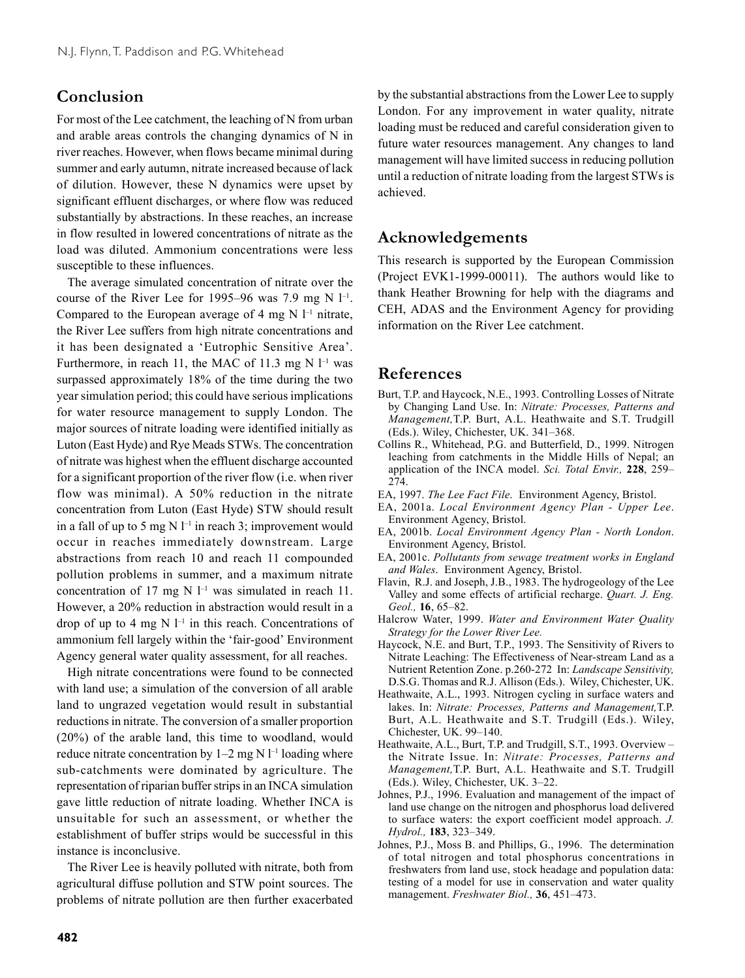## **Conclusion**

For most of the Lee catchment, the leaching of N from urban and arable areas controls the changing dynamics of N in river reaches. However, when flows became minimal during summer and early autumn, nitrate increased because of lack of dilution. However, these N dynamics were upset by significant effluent discharges, or where flow was reduced substantially by abstractions. In these reaches, an increase in flow resulted in lowered concentrations of nitrate as the load was diluted. Ammonium concentrations were less susceptible to these influences.

The average simulated concentration of nitrate over the course of the River Lee for 1995–96 was 7.9 mg N  $l^{-1}$ . Compared to the European average of 4 mg  $N$   $l^{-1}$  nitrate, the River Lee suffers from high nitrate concentrations and it has been designated a 'Eutrophic Sensitive Area'. Furthermore, in reach 11, the MAC of 11.3 mg N  $l^{-1}$  was surpassed approximately 18% of the time during the two year simulation period; this could have serious implications for water resource management to supply London. The major sources of nitrate loading were identified initially as Luton (East Hyde) and Rye Meads STWs. The concentration of nitrate was highest when the effluent discharge accounted for a significant proportion of the river flow (i.e. when river flow was minimal). A 50% reduction in the nitrate concentration from Luton (East Hyde) STW should result in a fall of up to 5 mg N  $l^{-1}$  in reach 3; improvement would occur in reaches immediately downstream. Large abstractions from reach 10 and reach 11 compounded pollution problems in summer, and a maximum nitrate concentration of 17 mg N  $l^{-1}$  was simulated in reach 11. However, a 20% reduction in abstraction would result in a drop of up to 4 mg  $N$   $l^{-1}$  in this reach. Concentrations of ammonium fell largely within the 'fair-good' Environment Agency general water quality assessment, for all reaches.

High nitrate concentrations were found to be connected with land use; a simulation of the conversion of all arable land to ungrazed vegetation would result in substantial reductions in nitrate. The conversion of a smaller proportion (20%) of the arable land, this time to woodland, would reduce nitrate concentration by  $1-2$  mg N  $1-1$  loading where sub-catchments were dominated by agriculture. The representation of riparian buffer strips in an INCA simulation gave little reduction of nitrate loading. Whether INCA is unsuitable for such an assessment, or whether the establishment of buffer strips would be successful in this instance is inconclusive.

The River Lee is heavily polluted with nitrate, both from agricultural diffuse pollution and STW point sources. The problems of nitrate pollution are then further exacerbated by the substantial abstractions from the Lower Lee to supply London. For any improvement in water quality, nitrate loading must be reduced and careful consideration given to future water resources management. Any changes to land management will have limited success in reducing pollution until a reduction of nitrate loading from the largest STWs is achieved.

### **Acknowledgements**

This research is supported by the European Commission (Project EVK1-1999-00011). The authors would like to thank Heather Browning for help with the diagrams and CEH, ADAS and the Environment Agency for providing information on the River Lee catchment.

### **References**

- Burt, T.P. and Haycock, N.E., 1993. Controlling Losses of Nitrate by Changing Land Use. In: *Nitrate: Processes, Patterns and Management,*T.P. Burt, A.L. Heathwaite and S.T. Trudgill (Eds.). Wiley, Chichester, UK. 341–368.
- Collins R., Whitehead, P.G. and Butterfield, D., 1999. Nitrogen leaching from catchments in the Middle Hills of Nepal; an application of the INCA model. *Sci. Total Envir.,* **228**, 259– 274.
- EA, 1997. *The Lee Fact File*. Environment Agency, Bristol.
- EA, 2001a. *Local Environment Agency Plan Upper Lee*. Environment Agency, Bristol.
- EA, 2001b. *Local Environment Agency Plan North London*. Environment Agency, Bristol.
- EA, 2001c. *Pollutants from sewage treatment works in England and Wales*. Environment Agency, Bristol.
- Flavin, R.J. and Joseph, J.B., 1983. The hydrogeology of the Lee Valley and some effects of artificial recharge. *Quart. J. Eng. Geol.,* **16**, 65–82.
- Halcrow Water, 1999. *Water and Environment Water Quality Strategy for the Lower River Lee.*
- Haycock, N.E. and Burt, T.P., 1993. The Sensitivity of Rivers to Nitrate Leaching: The Effectiveness of Near-stream Land as a Nutrient Retention Zone. p.260-272 In: *Landscape Sensitivity,* D.S.G. Thomas and R.J. Allison (Eds.). Wiley, Chichester, UK.
- Heathwaite, A.L., 1993. Nitrogen cycling in surface waters and lakes. In: *Nitrate: Processes, Patterns and Management,*T.P. Burt, A.L. Heathwaite and S.T. Trudgill (Eds.). Wiley, Chichester, UK. 99–140.
- Heathwaite, A.L., Burt, T.P. and Trudgill, S.T., 1993. Overview the Nitrate Issue. In: *Nitrate: Processes, Patterns and Management,*T.P. Burt, A.L. Heathwaite and S.T. Trudgill (Eds.). Wiley, Chichester, UK. 3–22.
- Johnes, P.J., 1996. Evaluation and management of the impact of land use change on the nitrogen and phosphorus load delivered to surface waters: the export coefficient model approach. *J. Hydrol.,* **183**, 323–349.
- Johnes, P.J., Moss B. and Phillips, G., 1996. The determination of total nitrogen and total phosphorus concentrations in freshwaters from land use, stock headage and population data: testing of a model for use in conservation and water quality management. *Freshwater Biol.,* **36**, 451–473.